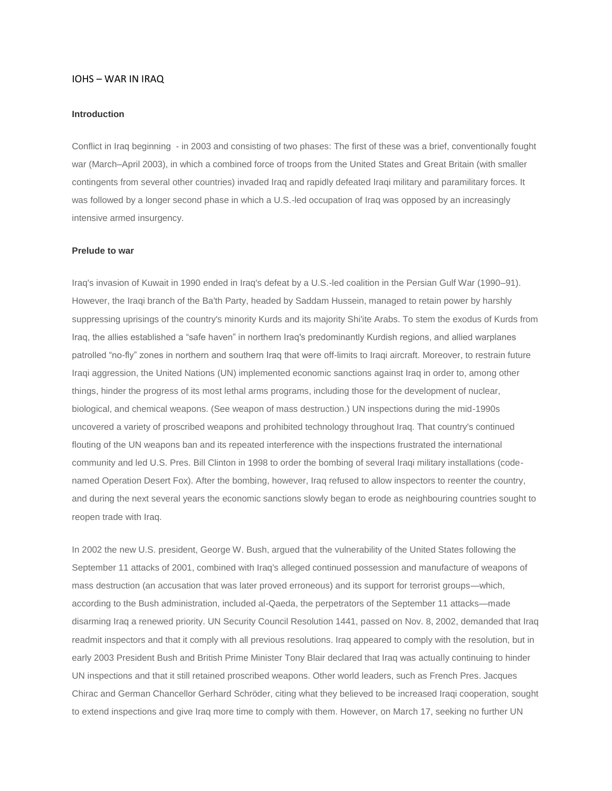### IOHS – WAR IN IRAQ

# **Introduction**

Conflict in Iraq beginning - in 2003 and consisting of two phases: The first of these was a brief, conventionally fought war (March–April 2003), in which a combined force of troops from the United States and Great Britain (with smaller contingents from several other countries) invaded Iraq and rapidly defeated Iraqi military and paramilitary forces. It was followed by a longer second phase in which a U.S.-led occupation of Iraq was opposed by an increasingly intensive armed insurgency.

# **Prelude to war**

Iraq's invasion of Kuwait in 1990 ended in Iraq's defeat by a U.S.-led coalition in the Persian Gulf War (1990–91). However, the Iraqi branch of the Ba'th Party, headed by Saddam Hussein, managed to retain power by harshly suppressing uprisings of the country's minority Kurds and its majority Shi'ite Arabs. To stem the exodus of Kurds from Iraq, the allies established a "safe haven" in northern Iraq's predominantly Kurdish regions, and allied warplanes patrolled "no-fly" zones in northern and southern Iraq that were off-limits to Iraqi aircraft. Moreover, to restrain future Iraqi aggression, the United Nations (UN) implemented economic sanctions against Iraq in order to, among other things, hinder the progress of its most lethal arms programs, including those for the development of nuclear, biological, and chemical weapons. (See weapon of mass destruction.) UN inspections during the mid-1990s uncovered a variety of proscribed weapons and prohibited technology throughout Iraq. That country's continued flouting of the UN weapons ban and its repeated interference with the inspections frustrated the international community and led U.S. Pres. Bill Clinton in 1998 to order the bombing of several Iraqi military installations (codenamed Operation Desert Fox). After the bombing, however, Iraq refused to allow inspectors to reenter the country, and during the next several years the economic sanctions slowly began to erode as neighbouring countries sought to reopen trade with Iraq.

In 2002 the new U.S. president, George W. Bush, argued that the vulnerability of the United States following the September 11 attacks of 2001, combined with Iraq's alleged continued possession and manufacture of weapons of mass destruction (an accusation that was later proved erroneous) and its support for terrorist groups—which, according to the Bush administration, included al-Qaeda, the perpetrators of the September 11 attacks—made disarming Iraq a renewed priority. UN Security Council Resolution 1441, passed on Nov. 8, 2002, demanded that Iraq readmit inspectors and that it comply with all previous resolutions. Iraq appeared to comply with the resolution, but in early 2003 President Bush and British Prime Minister Tony Blair declared that Iraq was actually continuing to hinder UN inspections and that it still retained proscribed weapons. Other world leaders, such as French Pres. Jacques Chirac and German Chancellor Gerhard Schröder, citing what they believed to be increased Iraqi cooperation, sought to extend inspections and give Iraq more time to comply with them. However, on March 17, seeking no further UN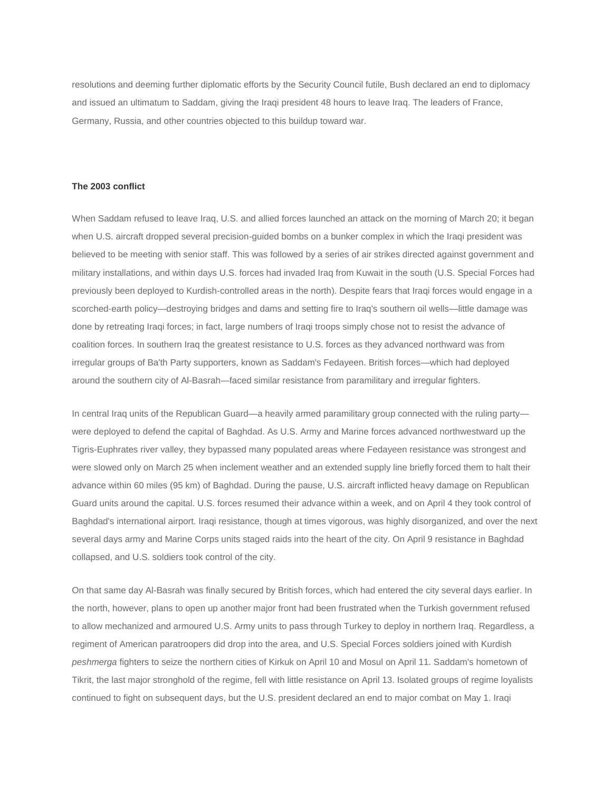resolutions and deeming further diplomatic efforts by the Security Council futile, Bush declared an end to diplomacy and issued an ultimatum to Saddam, giving the Iraqi president 48 hours to leave Iraq. The leaders of France, Germany, Russia, and other countries objected to this buildup toward war.

#### **The 2003 conflict**

When Saddam refused to leave Iraq, U.S. and allied forces launched an attack on the morning of March 20; it began when U.S. aircraft dropped several precision-guided bombs on a bunker complex in which the Iraqi president was believed to be meeting with senior staff. This was followed by a series of air strikes directed against government and military installations, and within days U.S. forces had invaded Iraq from Kuwait in the south (U.S. Special Forces had previously been deployed to Kurdish-controlled areas in the north). Despite fears that Iraqi forces would engage in a scorched-earth policy—destroying bridges and dams and setting fire to Iraq's southern oil wells—little damage was done by retreating Iraqi forces; in fact, large numbers of Iraqi troops simply chose not to resist the advance of coalition forces. In southern Iraq the greatest resistance to U.S. forces as they advanced northward was from irregular groups of Ba'th Party supporters, known as Saddam's Fedayeen. British forces—which had deployed around the southern city of Al-Basrah—faced similar resistance from paramilitary and irregular fighters.

In central Iraq units of the Republican Guard—a heavily armed paramilitary group connected with the ruling party were deployed to defend the capital of Baghdad. As U.S. Army and Marine forces advanced northwestward up the Tigris-Euphrates river valley, they bypassed many populated areas where Fedayeen resistance was strongest and were slowed only on March 25 when inclement weather and an extended supply line briefly forced them to halt their advance within 60 miles (95 km) of Baghdad. During the pause, U.S. aircraft inflicted heavy damage on Republican Guard units around the capital. U.S. forces resumed their advance within a week, and on April 4 they took control of Baghdad's international airport. Iraqi resistance, though at times vigorous, was highly disorganized, and over the next several days army and Marine Corps units staged raids into the heart of the city. On April 9 resistance in Baghdad collapsed, and U.S. soldiers took control of the city.

On that same day Al-Basrah was finally secured by British forces, which had entered the city several days earlier. In the north, however, plans to open up another major front had been frustrated when the Turkish government refused to allow mechanized and armoured U.S. Army units to pass through Turkey to deploy in northern Iraq. Regardless, a regiment of American paratroopers did drop into the area, and U.S. Special Forces soldiers joined with Kurdish *peshmerga* fighters to seize the northern cities of Kirkuk on April 10 and Mosul on April 11. Saddam's hometown of Tikrit, the last major stronghold of the regime, fell with little resistance on April 13. Isolated groups of regime loyalists continued to fight on subsequent days, but the U.S. president declared an end to major combat on May 1. Iraqi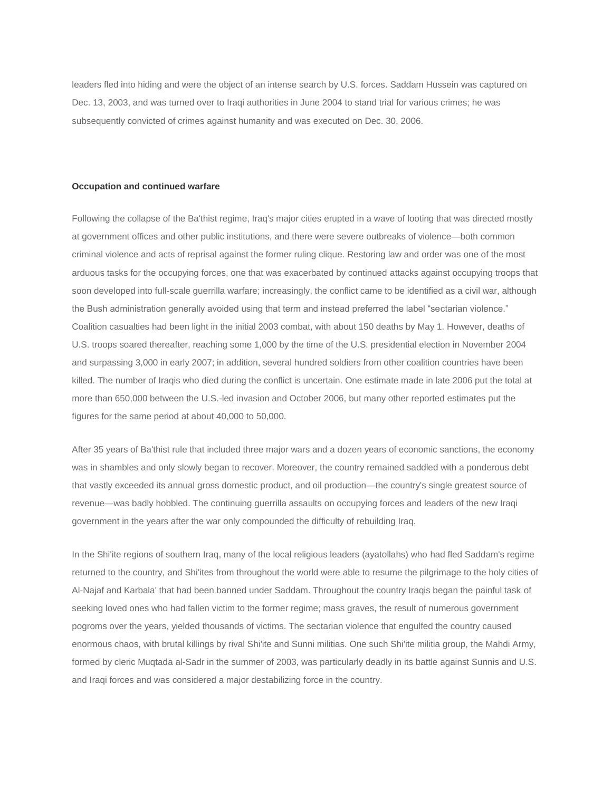leaders fled into hiding and were the object of an intense search by U.S. forces. Saddam Hussein was captured on Dec. 13, 2003, and was turned over to Iraqi authorities in June 2004 to stand trial for various crimes; he was subsequently convicted of crimes against humanity and was executed on Dec. 30, 2006.

#### **Occupation and continued warfare**

Following the collapse of the Ba'thist regime, Iraq's major cities erupted in a wave of looting that was directed mostly at government offices and other public institutions, and there were severe outbreaks of violence—both common criminal violence and acts of reprisal against the former ruling clique. Restoring law and order was one of the most arduous tasks for the occupying forces, one that was exacerbated by continued attacks against occupying troops that soon developed into full-scale guerrilla warfare; increasingly, the conflict came to be identified as a civil war, although the Bush administration generally avoided using that term and instead preferred the label "sectarian violence." Coalition casualties had been light in the initial 2003 combat, with about 150 deaths by May 1. However, deaths of U.S. troops soared thereafter, reaching some 1,000 by the time of the U.S. presidential election in November 2004 and surpassing 3,000 in early 2007; in addition, several hundred soldiers from other coalition countries have been killed. The number of Iraqis who died during the conflict is uncertain. One estimate made in late 2006 put the total at more than 650,000 between the U.S.-led invasion and October 2006, but many other reported estimates put the figures for the same period at about 40,000 to 50,000.

After 35 years of Ba'thist rule that included three major wars and a dozen years of economic sanctions, the economy was in shambles and only slowly began to recover. Moreover, the country remained saddled with a ponderous debt that vastly exceeded its annual gross domestic product, and oil production—the country's single greatest source of revenue—was badly hobbled. The continuing guerrilla assaults on occupying forces and leaders of the new Iraqi government in the years after the war only compounded the difficulty of rebuilding Iraq.

In the Shi'ite regions of southern Iraq, many of the local religious leaders (ayatollahs) who had fled Saddam's regime returned to the country, and Shi'ites from throughout the world were able to resume the pilgrimage to the holy cities of Al-Najaf and Karbala' that had been banned under Saddam. Throughout the country Iraqis began the painful task of seeking loved ones who had fallen victim to the former regime; mass graves, the result of numerous government pogroms over the years, yielded thousands of victims. The sectarian violence that engulfed the country caused enormous chaos, with brutal killings by rival Shi'ite and Sunni militias. One such Shi'ite militia group, the Mahdi Army, formed by cleric Muqtada al-Sadr in the summer of 2003, was particularly deadly in its battle against Sunnis and U.S. and Iraqi forces and was considered a major destabilizing force in the country.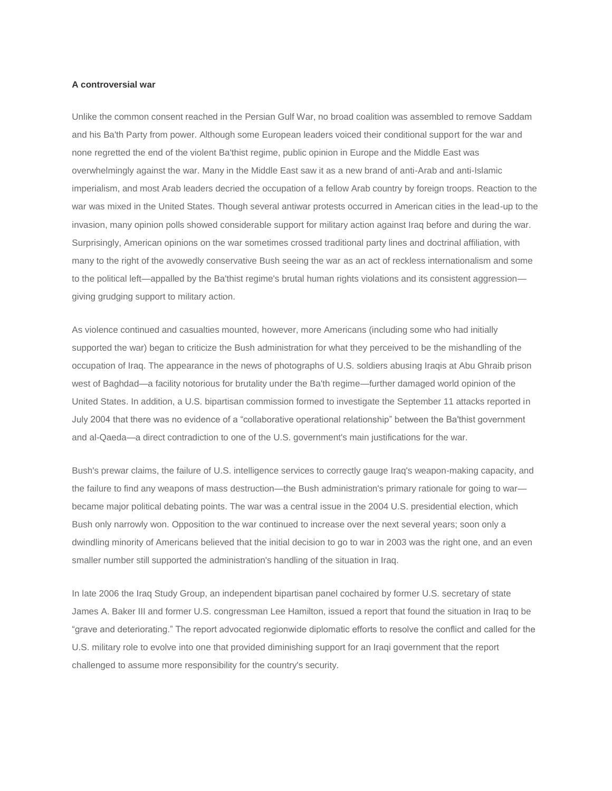## **A controversial war**

Unlike the common consent reached in the Persian Gulf War, no broad coalition was assembled to remove Saddam and his Ba'th Party from power. Although some European leaders voiced their conditional support for the war and none regretted the end of the violent Ba'thist regime, public opinion in Europe and the Middle East was overwhelmingly against the war. Many in the Middle East saw it as a new brand of anti-Arab and anti-Islamic imperialism, and most Arab leaders decried the occupation of a fellow Arab country by foreign troops. Reaction to the war was mixed in the United States. Though several antiwar protests occurred in American cities in the lead-up to the invasion, many opinion polls showed considerable support for military action against Iraq before and during the war. Surprisingly, American opinions on the war sometimes crossed traditional party lines and doctrinal affiliation, with many to the right of the avowedly conservative Bush seeing the war as an act of reckless internationalism and some to the political left—appalled by the Ba'thist regime's brutal human rights violations and its consistent aggression giving grudging support to military action.

As violence continued and casualties mounted, however, more Americans (including some who had initially supported the war) began to criticize the Bush administration for what they perceived to be the mishandling of the occupation of Iraq. The appearance in the news of photographs of U.S. soldiers abusing Iraqis at Abu Ghraib prison west of Baghdad—a facility notorious for brutality under the Ba'th regime—further damaged world opinion of the United States. In addition, a U.S. bipartisan commission formed to investigate the September 11 attacks reported in July 2004 that there was no evidence of a "collaborative operational relationship" between the Ba'thist government and al-Qaeda—a direct contradiction to one of the U.S. government's main justifications for the war.

Bush's prewar claims, the failure of U.S. intelligence services to correctly gauge Iraq's weapon-making capacity, and the failure to find any weapons of mass destruction—the Bush administration's primary rationale for going to war became major political debating points. The war was a central issue in the 2004 U.S. presidential election, which Bush only narrowly won. Opposition to the war continued to increase over the next several years; soon only a dwindling minority of Americans believed that the initial decision to go to war in 2003 was the right one, and an even smaller number still supported the administration's handling of the situation in Iraq.

In late 2006 the Iraq Study Group, an independent bipartisan panel cochaired by former U.S. secretary of state James A. Baker III and former U.S. congressman Lee Hamilton, issued a report that found the situation in Iraq to be ―grave and deteriorating.‖ The report advocated regionwide diplomatic efforts to resolve the conflict and called for the U.S. military role to evolve into one that provided diminishing support for an Iraqi government that the report challenged to assume more responsibility for the country's security.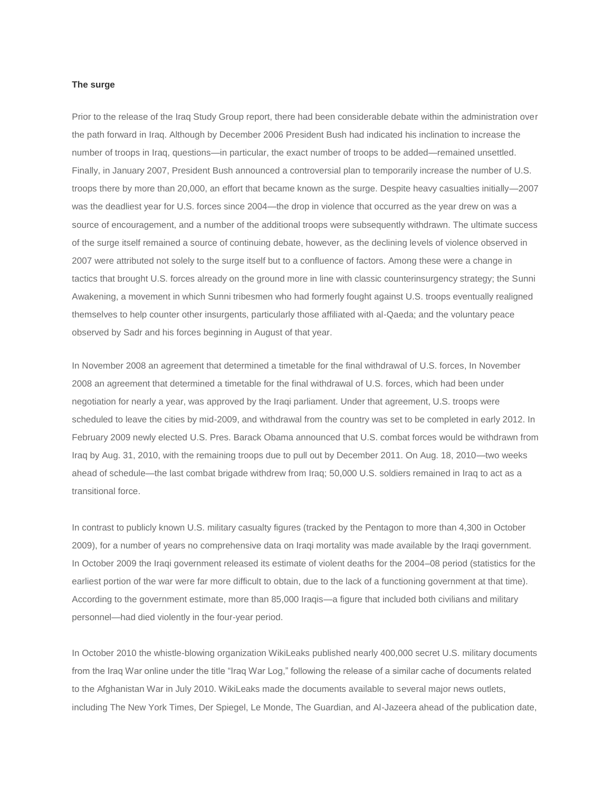# **The surge**

Prior to the release of the Iraq Study Group report, there had been considerable debate within the administration over the path forward in Iraq. Although by December 2006 President Bush had indicated his inclination to increase the number of troops in Iraq, questions—in particular, the exact number of troops to be added—remained unsettled. Finally, in January 2007, President Bush announced a controversial plan to temporarily increase the number of U.S. troops there by more than 20,000, an effort that became known as the surge. Despite heavy casualties initially—2007 was the deadliest year for U.S. forces since 2004—the drop in violence that occurred as the year drew on was a source of encouragement, and a number of the additional troops were subsequently withdrawn. The ultimate success of the surge itself remained a source of continuing debate, however, as the declining levels of violence observed in 2007 were attributed not solely to the surge itself but to a confluence of factors. Among these were a change in tactics that brought U.S. forces already on the ground more in line with classic counterinsurgency strategy; the Sunni Awakening, a movement in which Sunni tribesmen who had formerly fought against U.S. troops eventually realigned themselves to help counter other insurgents, particularly those affiliated with al-Qaeda; and the voluntary peace observed by Sadr and his forces beginning in August of that year.

In November 2008 an agreement that determined a timetable for the final withdrawal of U.S. forces, In November 2008 an agreement that determined a timetable for the final withdrawal of U.S. forces, which had been under negotiation for nearly a year, was approved by the Iraqi parliament. Under that agreement, U.S. troops were scheduled to leave the cities by mid-2009, and withdrawal from the country was set to be completed in early 2012. In February 2009 newly elected U.S. Pres. Barack Obama announced that U.S. combat forces would be withdrawn from Iraq by Aug. 31, 2010, with the remaining troops due to pull out by December 2011. On Aug. 18, 2010—two weeks ahead of schedule—the last combat brigade withdrew from Iraq; 50,000 U.S. soldiers remained in Iraq to act as a transitional force.

In contrast to publicly known U.S. military casualty figures (tracked by the Pentagon to more than 4,300 in October 2009), for a number of years no comprehensive data on Iraqi mortality was made available by the Iraqi government. In October 2009 the Iraqi government released its estimate of violent deaths for the 2004–08 period (statistics for the earliest portion of the war were far more difficult to obtain, due to the lack of a functioning government at that time). According to the government estimate, more than 85,000 Iraqis—a figure that included both civilians and military personnel—had died violently in the four-year period.

In October 2010 the whistle-blowing organization WikiLeaks published nearly 400,000 secret U.S. military documents from the Iraq War online under the title "Iraq War Log," following the release of a similar cache of documents related to the Afghanistan War in July 2010. WikiLeaks made the documents available to several major news outlets, including The New York Times, Der Spiegel, Le Monde, The Guardian, and Al-Jazeera ahead of the publication date,